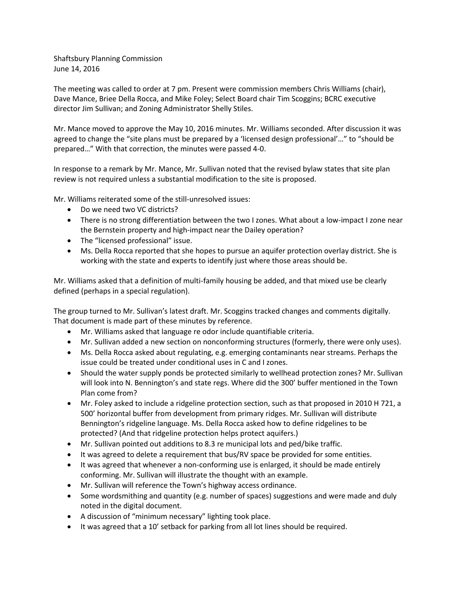Shaftsbury Planning Commission June 14, 2016

The meeting was called to order at 7 pm. Present were commission members Chris Williams (chair), Dave Mance, Briee Della Rocca, and Mike Foley; Select Board chair Tim Scoggins; BCRC executive director Jim Sullivan; and Zoning Administrator Shelly Stiles.

Mr. Mance moved to approve the May 10, 2016 minutes. Mr. Williams seconded. After discussion it was agreed to change the "site plans must be prepared by a 'licensed design professional'…" to "should be prepared…" With that correction, the minutes were passed 4-0.

In response to a remark by Mr. Mance, Mr. Sullivan noted that the revised bylaw states that site plan review is not required unless a substantial modification to the site is proposed.

Mr. Williams reiterated some of the still-unresolved issues:

- Do we need two VC districts?
- There is no strong differentiation between the two I zones. What about a low-impact I zone near the Bernstein property and high-impact near the Dailey operation?
- The "licensed professional" issue.
- Ms. Della Rocca reported that she hopes to pursue an aquifer protection overlay district. She is working with the state and experts to identify just where those areas should be.

Mr. Williams asked that a definition of multi-family housing be added, and that mixed use be clearly defined (perhaps in a special regulation).

The group turned to Mr. Sullivan's latest draft. Mr. Scoggins tracked changes and comments digitally. That document is made part of these minutes by reference.

- Mr. Williams asked that language re odor include quantifiable criteria.
- Mr. Sullivan added a new section on nonconforming structures (formerly, there were only uses).
- Ms. Della Rocca asked about regulating, e.g. emerging contaminants near streams. Perhaps the issue could be treated under conditional uses in C and I zones.
- Should the water supply ponds be protected similarly to wellhead protection zones? Mr. Sullivan will look into N. Bennington's and state regs. Where did the 300' buffer mentioned in the Town Plan come from?
- Mr. Foley asked to include a ridgeline protection section, such as that proposed in 2010 H 721, a 500' horizontal buffer from development from primary ridges. Mr. Sullivan will distribute Bennington's ridgeline language. Ms. Della Rocca asked how to define ridgelines to be protected? (And that ridgeline protection helps protect aquifers.)
- Mr. Sullivan pointed out additions to 8.3 re municipal lots and ped/bike traffic.
- It was agreed to delete a requirement that bus/RV space be provided for some entities.
- It was agreed that whenever a non-conforming use is enlarged, it should be made entirely conforming. Mr. Sullivan will illustrate the thought with an example.
- Mr. Sullivan will reference the Town's highway access ordinance.
- Some wordsmithing and quantity (e.g. number of spaces) suggestions and were made and duly noted in the digital document.
- A discussion of "minimum necessary" lighting took place.
- It was agreed that a 10' setback for parking from all lot lines should be required.